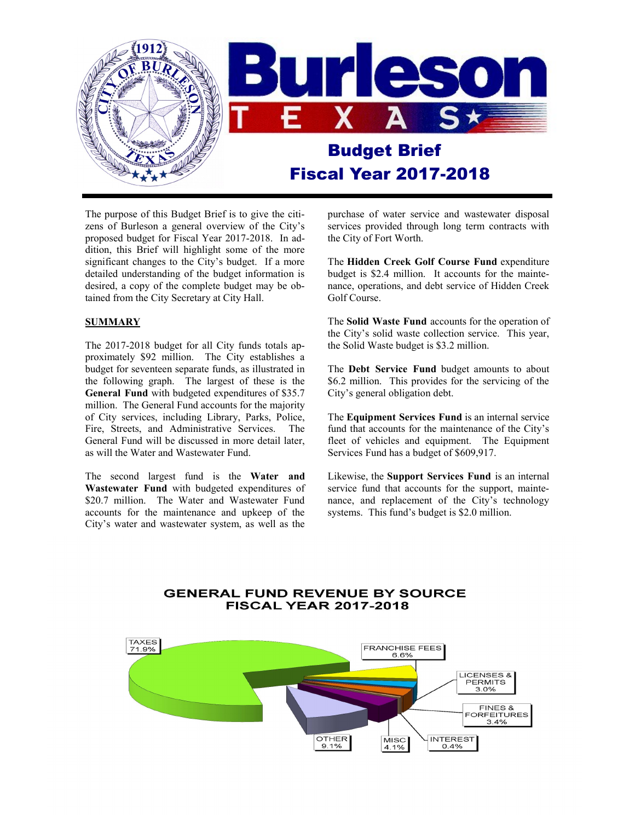

The purpose of this Budget Brief is to give the citizens of Burleson a general overview of the City's proposed budget for Fiscal Year 2017-2018. In addition, this Brief will highlight some of the more significant changes to the City's budget. If a more detailed understanding of the budget information is desired, a copy of the complete budget may be obtained from the City Secretary at City Hall.

#### **SUMMARY**

The 2017-2018 budget for all City funds totals approximately \$92 million. The City establishes a budget for seventeen separate funds, as illustrated in the following graph. The largest of these is the **General Fund** with budgeted expenditures of \$35.7 million. The General Fund accounts for the majority of City services, including Library, Parks, Police, Fire, Streets, and Administrative Services. The General Fund will be discussed in more detail later, as will the Water and Wastewater Fund.

The second largest fund is the **Water and Wastewater Fund** with budgeted expenditures of \$20.7 million. The Water and Wastewater Fund accounts for the maintenance and upkeep of the City's water and wastewater system, as well as the

purchase of water service and wastewater disposal services provided through long term contracts with the City of Fort Worth.

The **Hidden Creek Golf Course Fund** expenditure budget is \$2.4 million. It accounts for the maintenance, operations, and debt service of Hidden Creek Golf Course.

The **Solid Waste Fund** accounts for the operation of the City's solid waste collection service. This year, the Solid Waste budget is \$3.2 million.

The **Debt Service Fund** budget amounts to about \$6.2 million. This provides for the servicing of the City's general obligation debt.

The **Equipment Services Fund** is an internal service fund that accounts for the maintenance of the City's fleet of vehicles and equipment. The Equipment Services Fund has a budget of \$609,917.

Likewise, the **Support Services Fund** is an internal service fund that accounts for the support, maintenance, and replacement of the City's technology systems. This fund's budget is \$2.0 million.

#### **GENERAL FUND REVENUE BY SOURCE FISCAL YEAR 2017-2018**

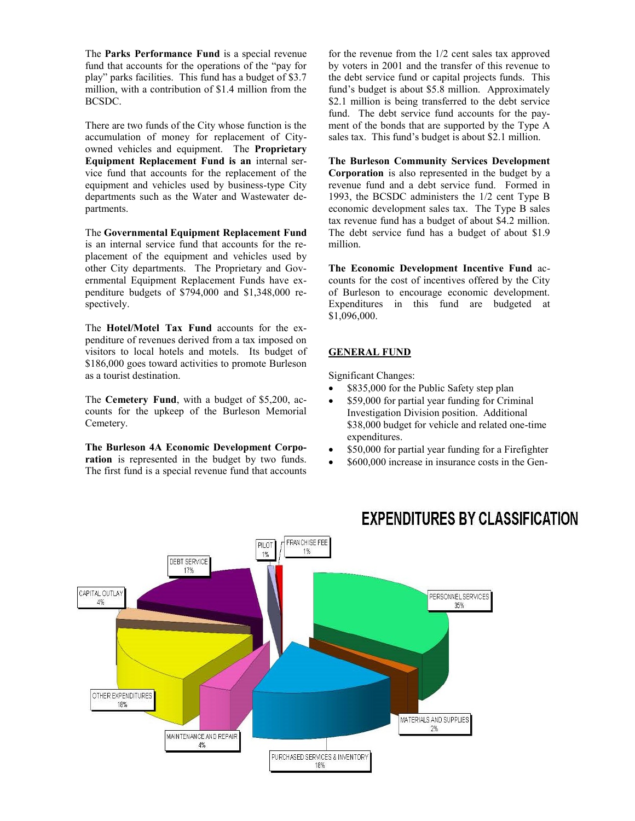The **Parks Performance Fund** is a special revenue fund that accounts for the operations of the "pay for play" parks facilities. This fund has a budget of \$3.7 million, with a contribution of \$1.4 million from the BCSDC.

There are two funds of the City whose function is the accumulation of money for replacement of Cityowned vehicles and equipment. The **Proprietary Equipment Replacement Fund is an** internal service fund that accounts for the replacement of the equipment and vehicles used by business-type City departments such as the Water and Wastewater departments.

The **Governmental Equipment Replacement Fund**  is an internal service fund that accounts for the replacement of the equipment and vehicles used by other City departments. The Proprietary and Governmental Equipment Replacement Funds have expenditure budgets of \$794,000 and \$1,348,000 respectively.

The **Hotel/Motel Tax Fund** accounts for the expenditure of revenues derived from a tax imposed on visitors to local hotels and motels. Its budget of \$186,000 goes toward activities to promote Burleson as a tourist destination.

The **Cemetery Fund**, with a budget of \$5,200, accounts for the upkeep of the Burleson Memorial Cemetery.

**The Burleson 4A Economic Development Corporation** is represented in the budget by two funds. The first fund is a special revenue fund that accounts

for the revenue from the 1/2 cent sales tax approved by voters in 2001 and the transfer of this revenue to the debt service fund or capital projects funds. This fund's budget is about \$5.8 million. Approximately \$2.1 million is being transferred to the debt service fund. The debt service fund accounts for the payment of the bonds that are supported by the Type A sales tax. This fund's budget is about \$2.1 million.

**The Burleson Community Services Development Corporation** is also represented in the budget by a revenue fund and a debt service fund. Formed in 1993, the BCSDC administers the 1/2 cent Type B economic development sales tax. The Type B sales tax revenue fund has a budget of about \$4.2 million. The debt service fund has a budget of about \$1.9 million.

**The Economic Development Incentive Fund** accounts for the cost of incentives offered by the City of Burleson to encourage economic development. Expenditures in this fund are budgeted at \$1,096,000.

#### **GENERAL FUND**

Significant Changes:

- \$835,000 for the Public Safety step plan
- \$59,000 for partial year funding for Criminal Investigation Division position. Additional \$38,000 budget for vehicle and related one-time expenditures.
- \$50,000 for partial year funding for a Firefighter
- \$600,000 increase in insurance costs in the Gen-



### **EXPENDITURES BY CLASSIFICATION**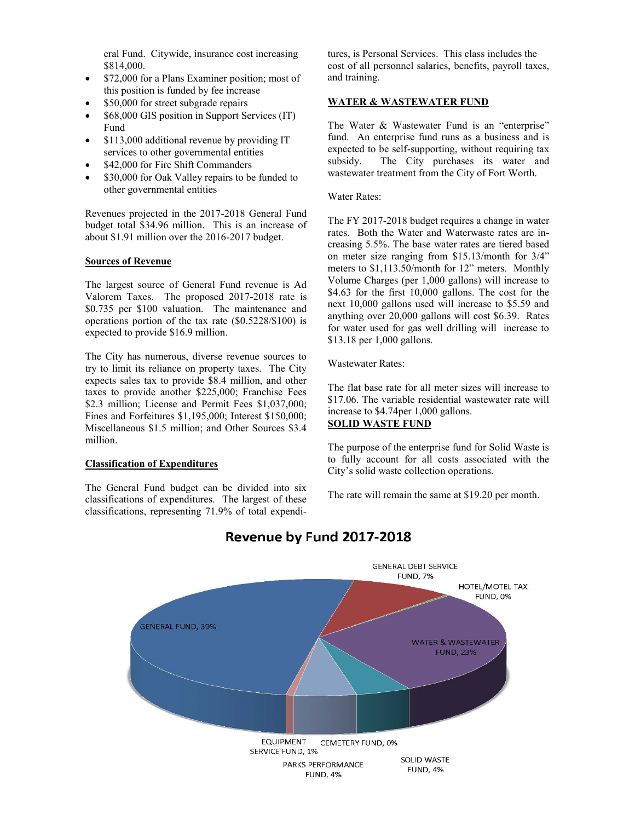eral Fund. Citywide, insurance cost increasing \$814,000.

- \$72,000 for a Plans Examiner position; most of this position is funded by fee increase
- \$50,000 for street subgrade repairs
- \$68,000 GIS position in Support Services (IT) Fund
- \$113,000 additional revenue by providing IT services to other governmental entities
- \$42,000 for Fire Shift Commanders
- \$30,000 for Oak Valley repairs to be funded to other governmental entities

Revenues projected in the 2017-2018 General Fund budget total \$34.96 million. This is an increase of about \$1.91 million over the 2016-2017 budget.

#### **Sources of Revenue**

The largest source of General Fund revenue is Ad Valorem Taxes. The proposed 2017-2018 rate is \$0.735 per \$100 valuation. The maintenance and operations portion of the tax rate (\$0.5228/\$100) is expected to provide \$16.9 million.

The City has numerous, diverse revenue sources to try to limit its reliance on property taxes. The City expects sales tax to provide \$8.4 million, and other taxes to provide another \$225,000; Franchise Fees \$2.3 million; License and Permit Fees \$1,037,000; Fines and Forfeitures \$1,195,000; Interest \$150,000; Miscellaneous \$1.5 million; and Other Sources \$3.4 million.

#### **Classification of Expenditures**

The General Fund budget can be divided into six classifications of expenditures. The largest of these classifications, representing 71.9% of total expenditures, is Personal Services. This class includes the cost of all personnel salaries, benefits, payroll taxes, and training.

#### **WATER & WASTEWATER FUND**

The Water & Wastewater Fund is an "enterprise" fund. An enterprise fund runs as a business and is expected to be self-supporting, without requiring tax subsidy. The City purchases its water and wastewater treatment from the City of Fort Worth.

#### Water Rates:

The FY 2017-2018 budget requires a change in water rates. Both the Water and Waterwaste rates are increasing 5.5%. The base water rates are tiered based on meter size ranging from \$15.13/month for 3/4" meters to \$1,113.50/month for 12" meters. Monthly Volume Charges (per 1,000 gallons) will increase to \$4.63 for the first 10,000 gallons. The cost for the next 10,000 gallons used will increase to \$5.59 and anything over 20,000 gallons will cost \$6.39. Rates for water used for gas well drilling will increase to \$13.18 per 1,000 gallons.

Wastewater Rates:

The flat base rate for all meter sizes will increase to \$17.06. The variable residential wastewater rate will increase to \$4.74per 1,000 gallons. **SOLID WASTE FUND**

The purpose of the enterprise fund for Solid Waste is to fully account for all costs associated with the City's solid waste collection operations.

The rate will remain the same at \$19.20 per month.



### Revenue by Fund 2017-2018